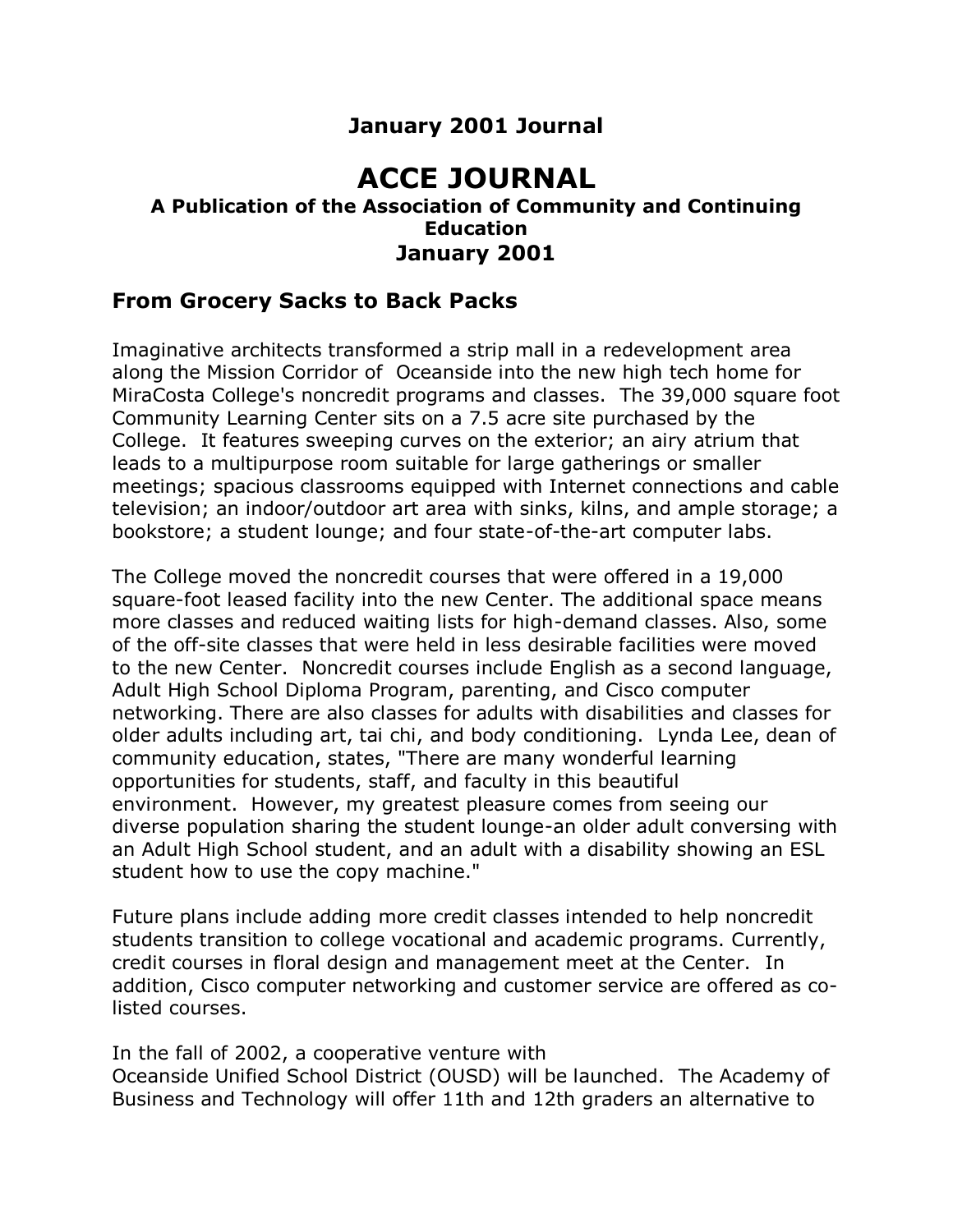# **January 2001 Journal**

# **ACCE JOURNAL**

### **A Publication of the Association of Community and Continuing Education January 2001**

## **From Grocery Sacks to Back Packs**

Imaginative architects transformed a strip mall in a redevelopment area along the Mission Corridor of Oceanside into the new high tech home for MiraCosta College's noncredit programs and classes. The 39,000 square foot Community Learning Center sits on a 7.5 acre site purchased by the College. It features sweeping curves on the exterior; an airy atrium that leads to a multipurpose room suitable for large gatherings or smaller meetings; spacious classrooms equipped with Internet connections and cable television; an indoor/outdoor art area with sinks, kilns, and ample storage; a bookstore; a student lounge; and four state-of-the-art computer labs.

The College moved the noncredit courses that were offered in a 19,000 square-foot leased facility into the new Center. The additional space means more classes and reduced waiting lists for high-demand classes. Also, some of the off-site classes that were held in less desirable facilities were moved to the new Center. Noncredit courses include English as a second language, Adult High School Diploma Program, parenting, and Cisco computer networking. There are also classes for adults with disabilities and classes for older adults including art, tai chi, and body conditioning. Lynda Lee, dean of community education, states, "There are many wonderful learning opportunities for students, staff, and faculty in this beautiful environment. However, my greatest pleasure comes from seeing our diverse population sharing the student lounge-an older adult conversing with an Adult High School student, and an adult with a disability showing an ESL student how to use the copy machine."

Future plans include adding more credit classes intended to help noncredit students transition to college vocational and academic programs. Currently, credit courses in floral design and management meet at the Center. In addition, Cisco computer networking and customer service are offered as colisted courses.

In the fall of 2002, a cooperative venture with

Oceanside Unified School District (OUSD) will be launched. The Academy of Business and Technology will offer 11th and 12th graders an alternative to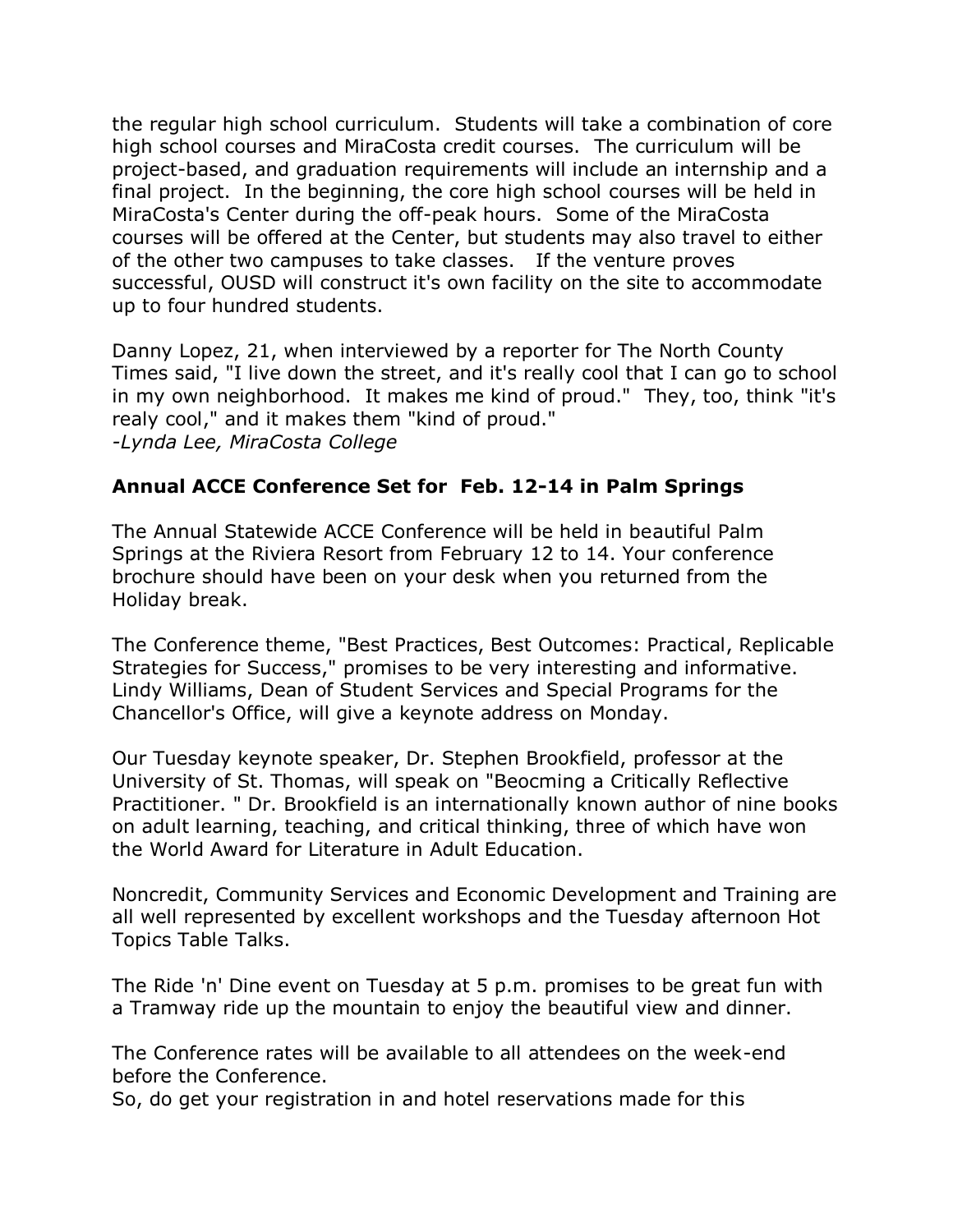the regular high school curriculum. Students will take a combination of core high school courses and MiraCosta credit courses. The curriculum will be project-based, and graduation requirements will include an internship and a final project. In the beginning, the core high school courses will be held in MiraCosta's Center during the off-peak hours. Some of the MiraCosta courses will be offered at the Center, but students may also travel to either of the other two campuses to take classes. If the venture proves successful, OUSD will construct it's own facility on the site to accommodate up to four hundred students.

Danny Lopez, 21, when interviewed by a reporter for The North County Times said, "I live down the street, and it's really cool that I can go to school in my own neighborhood. It makes me kind of proud." They, too, think "it's realy cool," and it makes them "kind of proud." *-Lynda Lee, MiraCosta College*

## **Annual ACCE Conference Set for Feb. 12-14 in Palm Springs**

The Annual Statewide ACCE Conference will be held in beautiful Palm Springs at the Riviera Resort from February 12 to 14. Your conference brochure should have been on your desk when you returned from the Holiday break.

The Conference theme, "Best Practices, Best Outcomes: Practical, Replicable Strategies for Success," promises to be very interesting and informative. Lindy Williams, Dean of Student Services and Special Programs for the Chancellor's Office, will give a keynote address on Monday.

Our Tuesday keynote speaker, Dr. Stephen Brookfield, professor at the University of St. Thomas, will speak on "Beocming a Critically Reflective Practitioner. " Dr. Brookfield is an internationally known author of nine books on adult learning, teaching, and critical thinking, three of which have won the World Award for Literature in Adult Education.

Noncredit, Community Services and Economic Development and Training are all well represented by excellent workshops and the Tuesday afternoon Hot Topics Table Talks.

The Ride 'n' Dine event on Tuesday at 5 p.m. promises to be great fun with a Tramway ride up the mountain to enjoy the beautiful view and dinner.

The Conference rates will be available to all attendees on the week-end before the Conference.

So, do get your registration in and hotel reservations made for this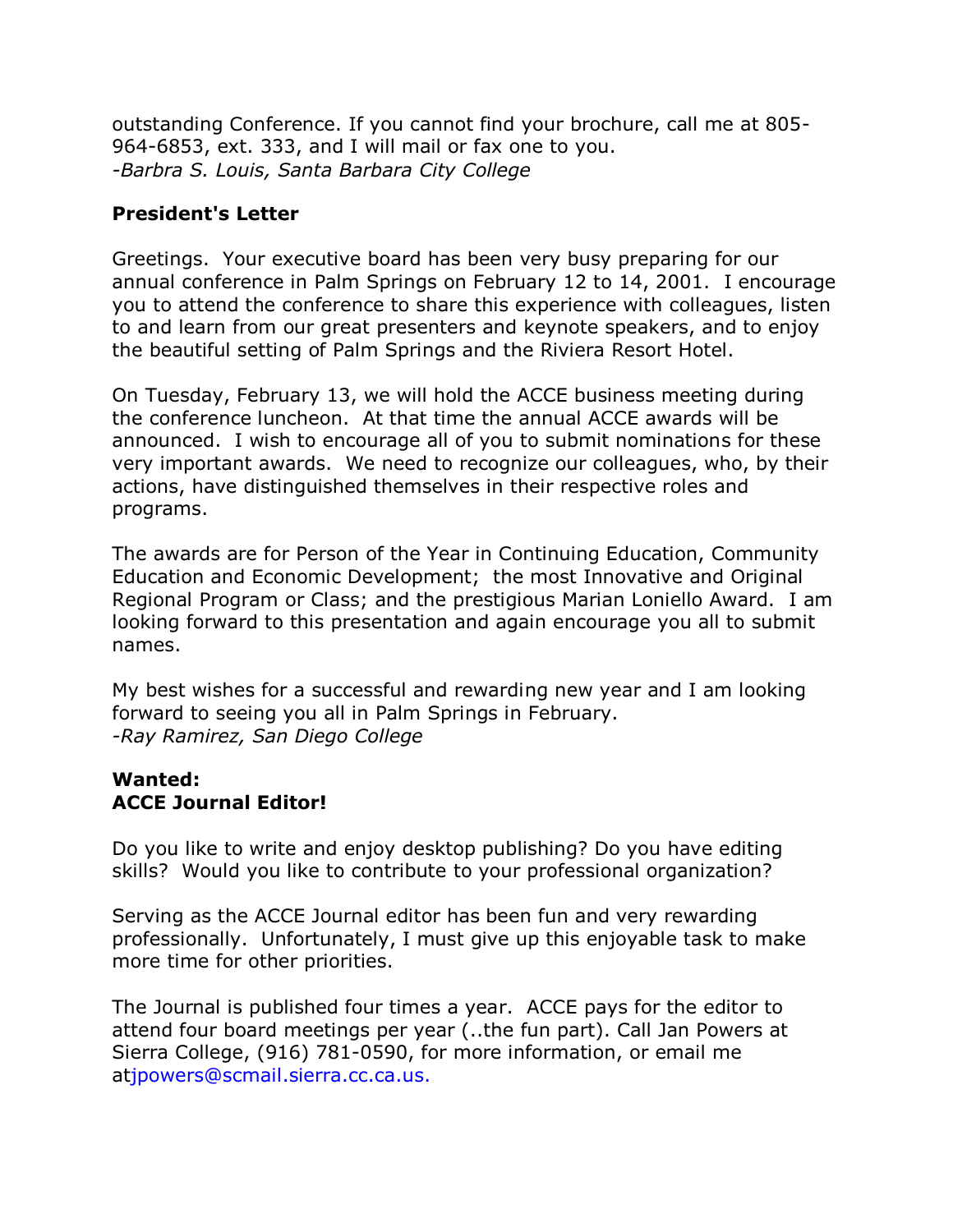outstanding Conference. If you cannot find your brochure, call me at 805- 964-6853, ext. 333, and I will mail or fax one to you. *-Barbra S. Louis, Santa Barbara City College*

### **President's Letter**

Greetings. Your executive board has been very busy preparing for our annual conference in Palm Springs on February 12 to 14, 2001. I encourage you to attend the conference to share this experience with colleagues, listen to and learn from our great presenters and keynote speakers, and to enjoy the beautiful setting of Palm Springs and the Riviera Resort Hotel.

On Tuesday, February 13, we will hold the ACCE business meeting during the conference luncheon. At that time the annual ACCE awards will be announced. I wish to encourage all of you to submit nominations for these very important awards. We need to recognize our colleagues, who, by their actions, have distinguished themselves in their respective roles and programs.

The awards are for Person of the Year in Continuing Education, Community Education and Economic Development; the most Innovative and Original Regional Program or Class; and the prestigious Marian Loniello Award. I am looking forward to this presentation and again encourage you all to submit names.

My best wishes for a successful and rewarding new year and I am looking forward to seeing you all in Palm Springs in February. *-Ray Ramirez, San Diego College*

### **Wanted: ACCE Journal Editor!**

Do you like to write and enjoy desktop publishing? Do you have editing skills? Would you like to contribute to your professional organization?

Serving as the ACCE Journal editor has been fun and very rewarding professionally. Unfortunately, I must give up this enjoyable task to make more time for other priorities.

The Journal is published four times a year. ACCE pays for the editor to attend four board meetings per year (..the fun part). Call Jan Powers at Sierra College, (916) 781-0590, for more information, or email me a[tjpowers@scmail.sierra.cc.ca.us.](mailto:jpowers@scmail.sierra.cc.ca.us.)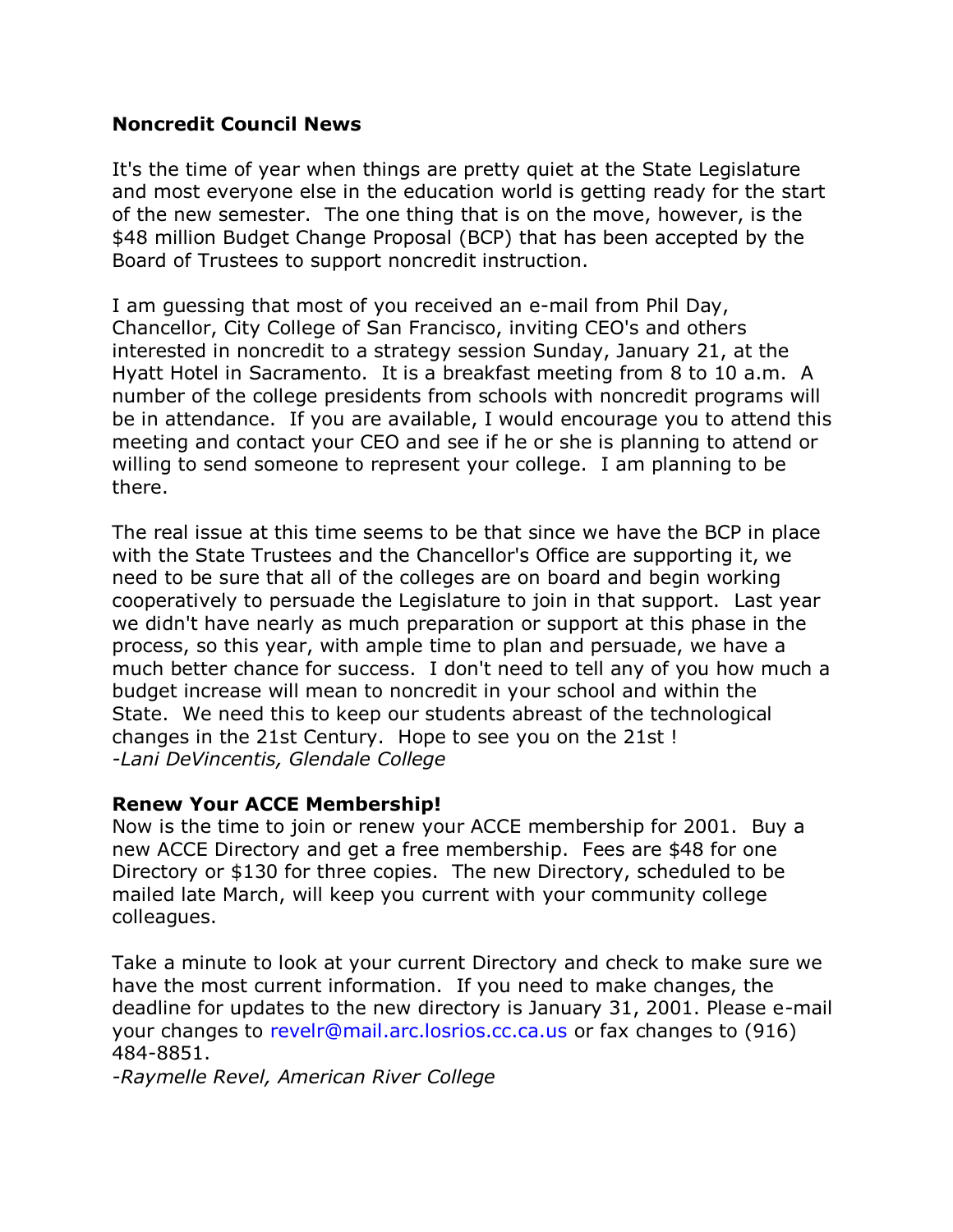#### **Noncredit Council News**

It's the time of year when things are pretty quiet at the State Legislature and most everyone else in the education world is getting ready for the start of the new semester. The one thing that is on the move, however, is the \$48 million Budget Change Proposal (BCP) that has been accepted by the Board of Trustees to support noncredit instruction.

I am guessing that most of you received an e-mail from Phil Day, Chancellor, City College of San Francisco, inviting CEO's and others interested in noncredit to a strategy session Sunday, January 21, at the Hyatt Hotel in Sacramento. It is a breakfast meeting from 8 to 10 a.m. A number of the college presidents from schools with noncredit programs will be in attendance. If you are available, I would encourage you to attend this meeting and contact your CEO and see if he or she is planning to attend or willing to send someone to represent your college. I am planning to be there.

The real issue at this time seems to be that since we have the BCP in place with the State Trustees and the Chancellor's Office are supporting it, we need to be sure that all of the colleges are on board and begin working cooperatively to persuade the Legislature to join in that support. Last year we didn't have nearly as much preparation or support at this phase in the process, so this year, with ample time to plan and persuade, we have a much better chance for success. I don't need to tell any of you how much a budget increase will mean to noncredit in your school and within the State. We need this to keep our students abreast of the technological changes in the 21st Century. Hope to see you on the 21st ! *-Lani DeVincentis, Glendale College*

#### **Renew Your ACCE Membership!**

Now is the time to join or renew your ACCE membership for 2001. Buy a new ACCE Directory and get a free membership. Fees are \$48 for one Directory or \$130 for three copies. The new Directory, scheduled to be mailed late March, will keep you current with your community college colleagues.

Take a minute to look at your current Directory and check to make sure we have the most current information. If you need to make changes, the deadline for updates to the new directory is January 31, 2001. Please e-mail your changes to [revelr@mail.arc.losrios.cc.ca.us](mailto:revelr@mail.arc.losrios.cc.ca.us) or fax changes to (916) 484-8851.

*-Raymelle Revel, American River College*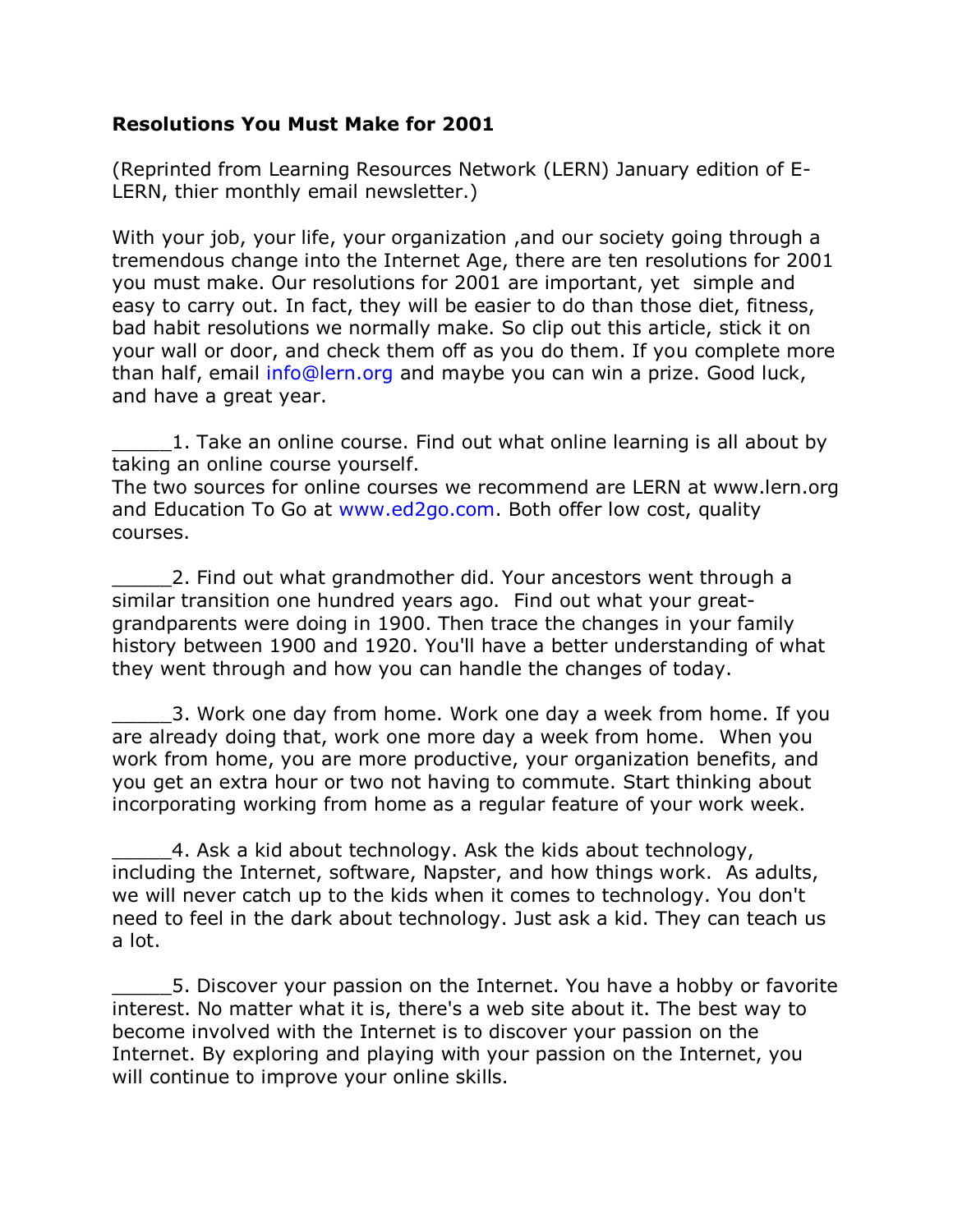### **Resolutions You Must Make for 2001**

(Reprinted from Learning Resources Network (LERN) January edition of E-LERN, thier monthly email newsletter.)

With your job, your life, your organization , and our society going through a tremendous change into the Internet Age, there are ten resolutions for 2001 you must make. Our resolutions for 2001 are important, yet simple and easy to carry out. In fact, they will be easier to do than those diet, fitness, bad habit resolutions we normally make. So clip out this article, stick it on your wall or door, and check them off as you do them. If you complete more than half, email [info@lern.org](mailto:info@lern.org) and maybe you can win a prize. Good luck, and have a great year.

\_\_\_\_\_1. Take an online course. Find out what online learning is all about by taking an online course yourself.

The two sources for online courses we recommend are LERN at www.lern.org and Education To Go at [www.ed2go.com.](http://www.ed2go.com/) Both offer low cost, quality courses.

2. Find out what grandmother did. Your ancestors went through a similar transition one hundred years ago. Find out what your greatgrandparents were doing in 1900. Then trace the changes in your family history between 1900 and 1920. You'll have a better understanding of what they went through and how you can handle the changes of today.

3. Work one day from home. Work one day a week from home. If you are already doing that, work one more day a week from home. When you work from home, you are more productive, your organization benefits, and you get an extra hour or two not having to commute. Start thinking about incorporating working from home as a regular feature of your work week.

4. Ask a kid about technology. Ask the kids about technology, including the Internet, software, Napster, and how things work. As adults, we will never catch up to the kids when it comes to technology. You don't need to feel in the dark about technology. Just ask a kid. They can teach us a lot.

\_\_\_\_\_5. Discover your passion on the Internet. You have a hobby or favorite interest. No matter what it is, there's a web site about it. The best way to become involved with the Internet is to discover your passion on the Internet. By exploring and playing with your passion on the Internet, you will continue to improve your online skills.